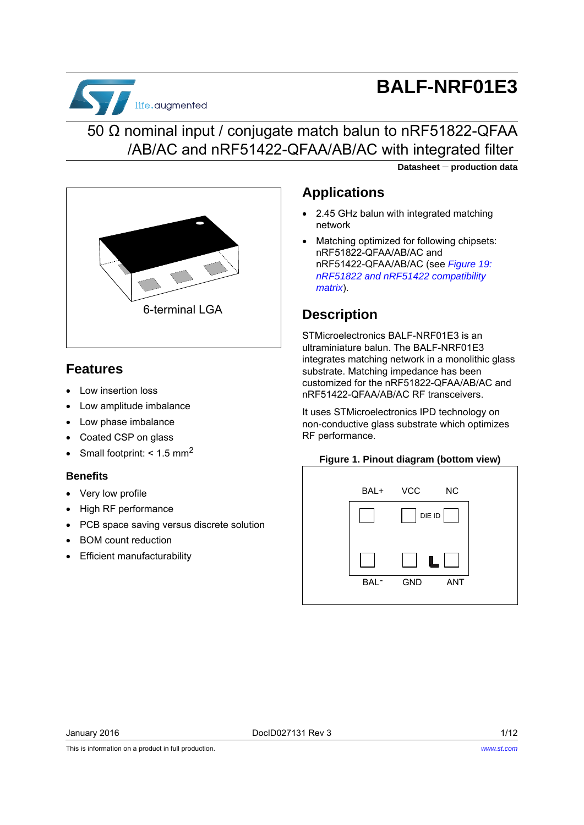

# **BALF-NRF01E3**

### 50 Ω nominal input / conjugate match balun to nRF51822-QFAA /AB/AC and nRF51422-QFAA/AB/AC with integrated filter

**Datasheet production data**



### **Features**

- Low insertion loss
- Low amplitude imbalance
- Low phase imbalance
- Coated CSP on glass
- Small footprint:  $< 1.5$  mm<sup>2</sup>

#### **Benefits**

- Very low profile
- High RF performance
- PCB space saving versus discrete solution
- BOM count reduction
- Efficient manufacturability

### **Applications**

- 2.45 GHz balun with integrated matching network
- Matching optimized for following chipsets: nRF51822-QFAA/AB/AC and nRF51422-QFAA/AB/AC (see *[Figure 19:](#page-9-0)  [nRF51822 and nRF51422 compatibility](#page-9-0)  [matrix](#page-9-0)*).

### **Description**

STMicroelectronics BALF-NRF01E3 is an ultraminiature balun. The BALF-NRF01E3 integrates matching network in a monolithic glass substrate. Matching impedance has been customized for the nRF51822-QFAA/AB/AC and nRF51422-QFAA/AB/AC RF transceivers.

It uses STMicroelectronics IPD technology on non-conductive glass substrate which optimizes RF performance.

#### **Figure 1. Pinout diagram (bottom view)**



This is information on a product in full production.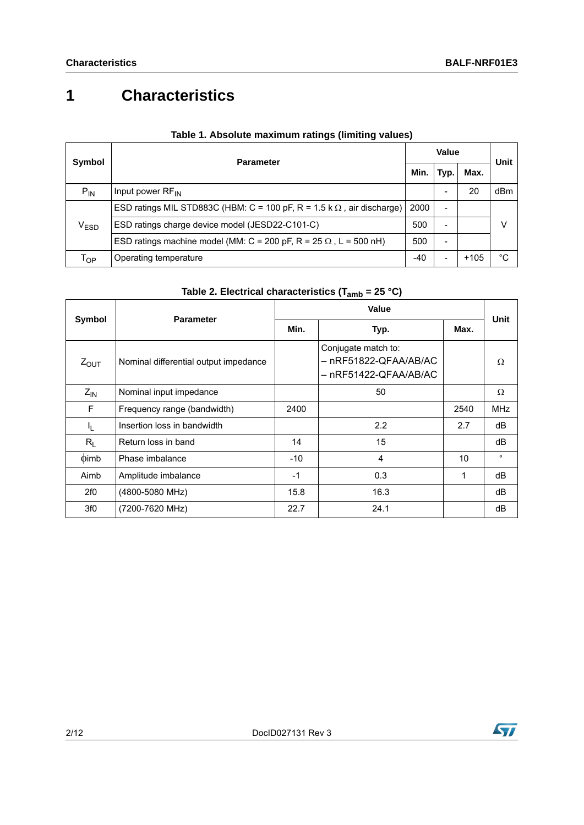## **1 Characteristics**

| Symbol                      | <b>Parameter</b>                                                              |      | Value                    |        |      |
|-----------------------------|-------------------------------------------------------------------------------|------|--------------------------|--------|------|
|                             |                                                                               |      | Typ.                     | Max.   | Unit |
| $P_{IN}$                    | Input power $RF_{IN}$                                                         |      |                          | 20     | dBm  |
|                             | ESD ratings MIL STD883C (HBM: C = 100 pF, R = 1.5 k $\Omega$ , air discharge) | 2000 | $\overline{\phantom{0}}$ |        |      |
| $\mathsf{V}_{\mathsf{ESD}}$ | ESD ratings charge device model (JESD22-C101-C)                               | 500  | $\overline{\phantom{0}}$ |        | ν    |
|                             | ESD ratings machine model (MM: C = 200 pF, R = 25 $\Omega$ , L = 500 nH)      | 500  |                          |        |      |
| l op                        | Operating temperature                                                         | -40  |                          | $+105$ | °C   |

#### **Table 1. Absolute maximum ratings (limiting values)**

| Table 2. Electrical characteristics (T <sub>amb</sub> = 25 °C) |  |
|----------------------------------------------------------------|--|
|----------------------------------------------------------------|--|

<span id="page-1-0"></span>

| Symbol           | <b>Parameter</b>                      | Value |                                                                       |      |            |
|------------------|---------------------------------------|-------|-----------------------------------------------------------------------|------|------------|
|                  |                                       | Min.  | Max.<br>Typ.                                                          |      | Unit       |
| $Z_{\text{OUT}}$ | Nominal differential output impedance |       | Conjugate match to:<br>– nRF51822-QFAA/AB/AC<br>– nRF51422-QFAA/AB/AC |      | $\Omega$   |
| $Z_{IN}$         | Nominal input impedance               |       | 50                                                                    |      | Ω          |
| F                | Frequency range (bandwidth)           | 2400  |                                                                       | 2540 | <b>MHz</b> |
| I <sub>L</sub>   | Insertion loss in bandwidth           |       | 2.2                                                                   | 2.7  | dB         |
| $R_L$            | Return loss in band                   | 14    | 15                                                                    |      | dB         |
| $\phi$ imb       | Phase imbalance                       | $-10$ | 4                                                                     | 10   | $\circ$    |
| Aimb             | Amplitude imbalance                   | $-1$  | 0.3                                                                   | 1    | dB         |
| 2f0              | (4800-5080 MHz)                       | 15.8  | 16.3                                                                  |      | dB         |
| 3f0              | (7200-7620 MHz)                       | 22.7  | 24.1                                                                  |      | dB         |

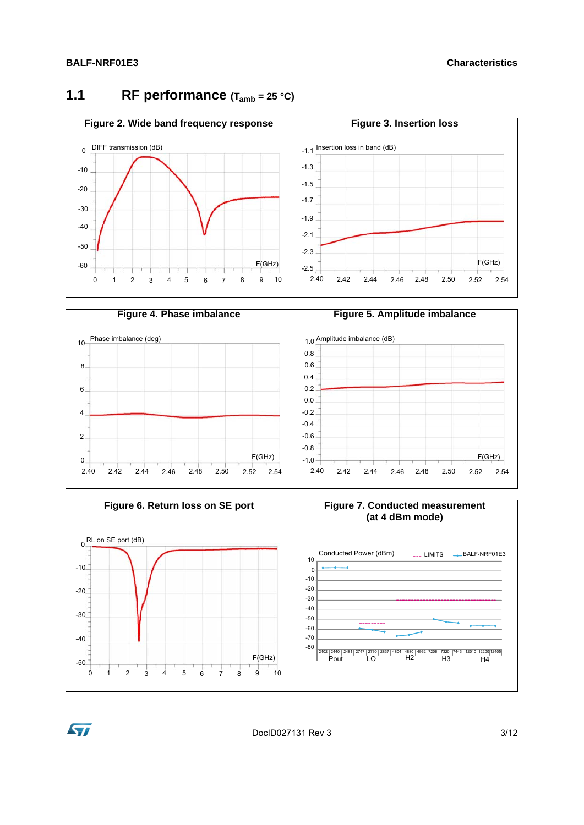### **1.1** RF performance  $(T_{amb} = 25 \text{ °C})$









DocID027131 Rev 3 3/12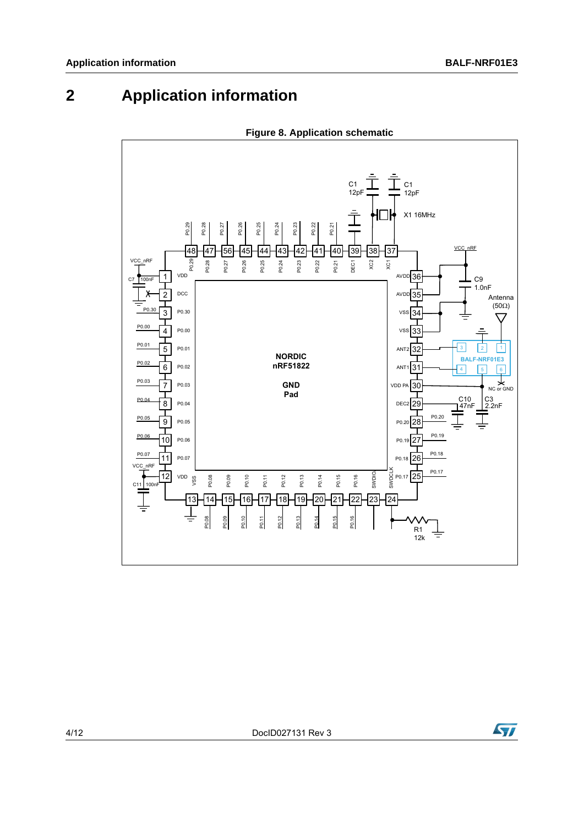## **2 Application information**

<span id="page-3-0"></span>



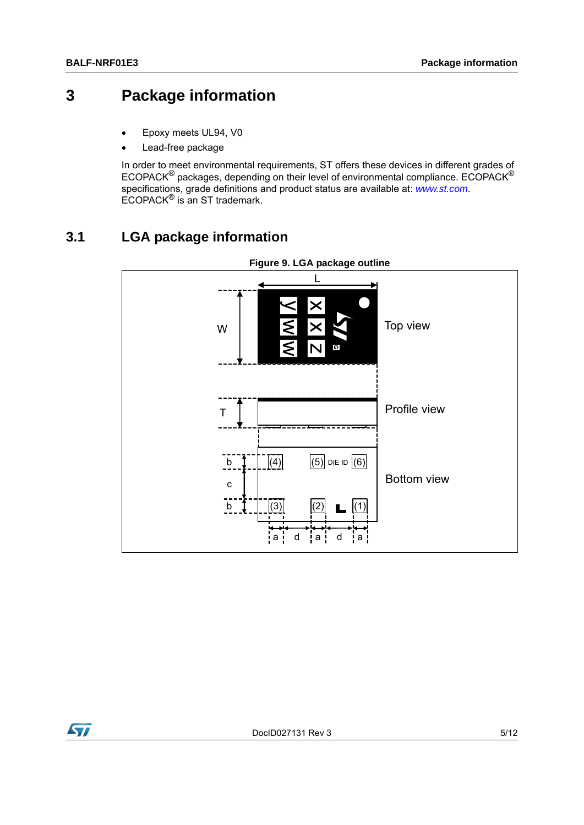### **3 Package information**

- Epoxy meets UL94, V0
- Lead-free package

In order to meet environmental requirements, ST offers these devices in different grades of ECOPACK® packages, depending on their level of environmental compliance. ECOPACK® specifications, grade definitions and product status are available at: *[www.st.com](http://www.st.com)*. ECOPACK® is an ST trademark.

### **3.1 LGA package information**



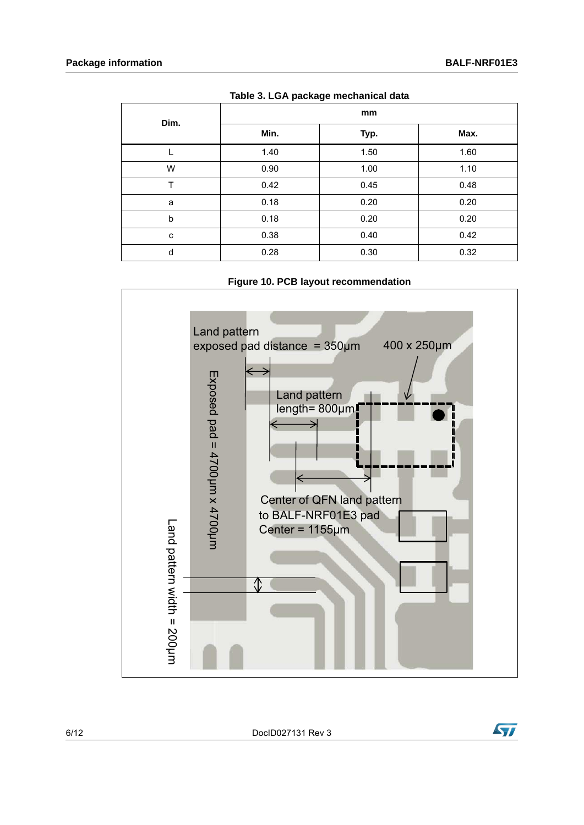| Dim. | mm   |      |      |  |  |
|------|------|------|------|--|--|
|      | Min. | Typ. | Max. |  |  |
|      | 1.40 | 1.50 | 1.60 |  |  |
| W    | 0.90 | 1.00 | 1.10 |  |  |
| Т    | 0.42 | 0.45 | 0.48 |  |  |
| a    | 0.18 | 0.20 | 0.20 |  |  |
| b    | 0.18 | 0.20 | 0.20 |  |  |
| c    | 0.38 | 0.40 | 0.42 |  |  |
| d    | 0.28 | 0.30 | 0.32 |  |  |

**Table 3. LGA package mechanical data**

**Figure 10. PCB layout recommendation**



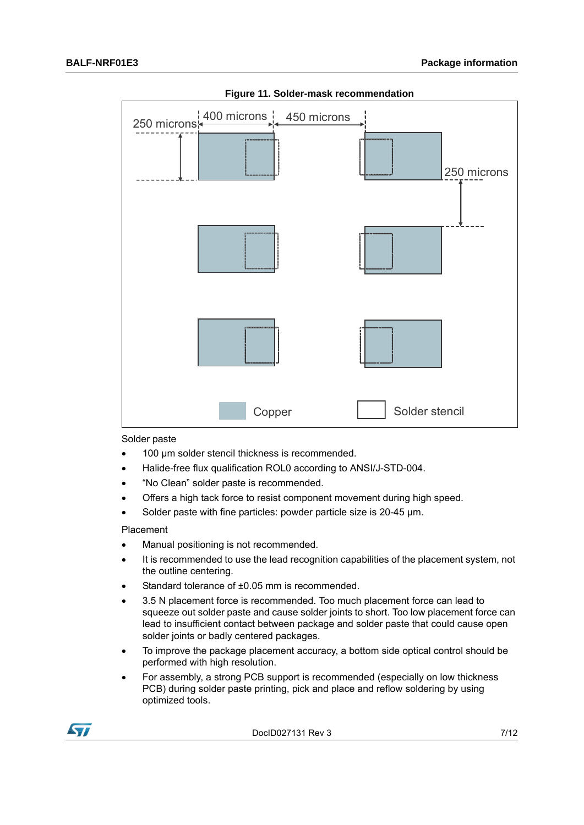

**Figure 11. Solder-mask recommendation**

Solder paste

- 100 µm solder stencil thickness is recommended.
- Halide-free flux qualification ROL0 according to ANSI/J-STD-004.
- "No Clean" solder paste is recommended.
- Offers a high tack force to resist component movement during high speed.
- Solder paste with fine particles: powder particle size is 20-45  $\mu$ m.

Placement

- Manual positioning is not recommended.
- It is recommended to use the lead recognition capabilities of the placement system, not the outline centering.
- Standard tolerance of ±0.05 mm is recommended.
- 3.5 N placement force is recommended. Too much placement force can lead to squeeze out solder paste and cause solder joints to short. Too low placement force can lead to insufficient contact between package and solder paste that could cause open solder joints or badly centered packages.
- To improve the package placement accuracy, a bottom side optical control should be performed with high resolution.
- For assembly, a strong PCB support is recommended (especially on low thickness PCB) during solder paste printing, pick and place and reflow soldering by using optimized tools.

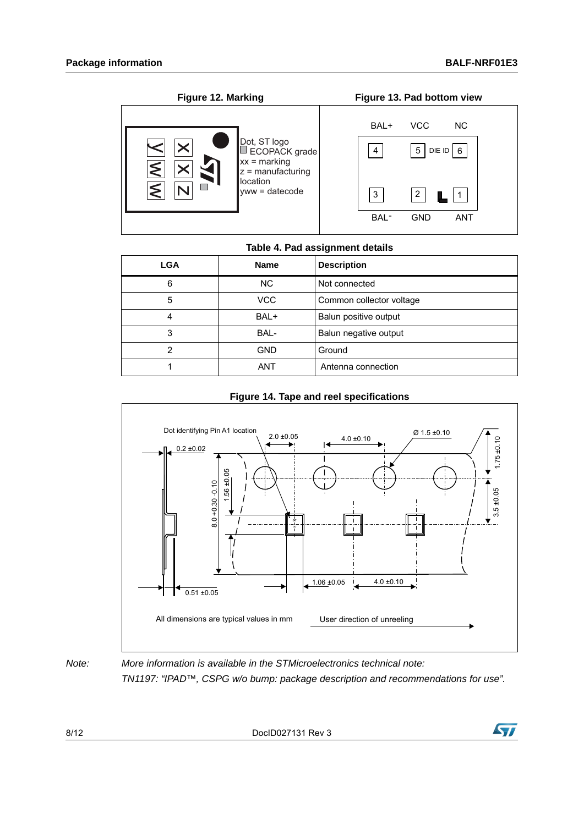

#### **Table 4. Pad assignment details**

| <b>LGA</b> | <b>Name</b> | <b>Description</b>       |
|------------|-------------|--------------------------|
| 6          | <b>NC</b>   | Not connected            |
| 5          | <b>VCC</b>  | Common collector voltage |
|            | BAL+        | Balun positive output    |
| 3          | BAL-        | Balun negative output    |
|            | <b>GND</b>  | Ground                   |
|            | <b>ANT</b>  | Antenna connection       |



#### **Figure 14. Tape and reel specifications**

*Note: More information is available in the STMicroelectronics technical note: TN1197: "IPAD™, CSPG w/o bump: package description and recommendations for use".*

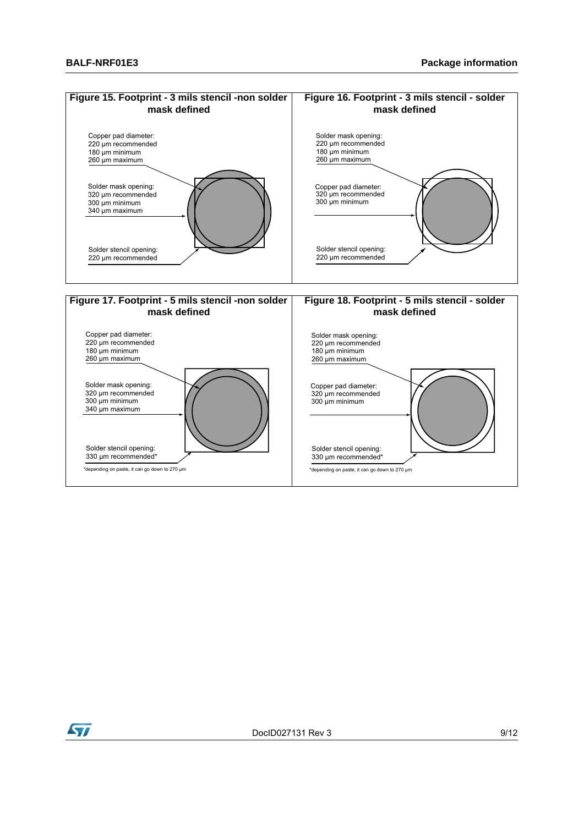

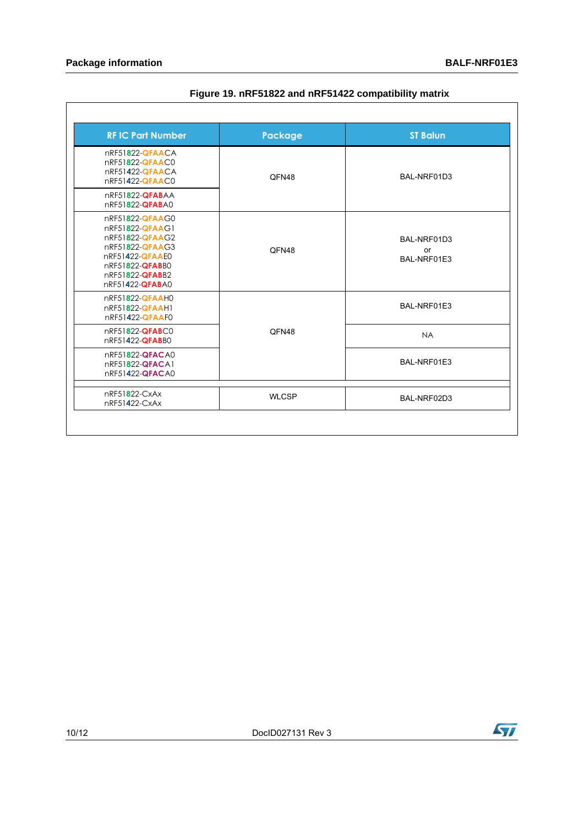<span id="page-9-0"></span>

| <b>RFIC Part Number</b>                                                                                                                              | <b>Package</b> | <b>ST Balun</b>                  |
|------------------------------------------------------------------------------------------------------------------------------------------------------|----------------|----------------------------------|
| nRF51822-QFAACA<br>nRF51822-QFAAC0<br>nRF51422-QFAACA<br>nRF51422-QFAAC0                                                                             | QFN48          | BAL-NRF01D3                      |
| nRF51822-QFABAA<br>nRF51822-QFABA0                                                                                                                   |                |                                  |
| nRF51822-QFAAG0<br>nRF51822-QFAAG1<br>nRF51822-QFAAG2<br>nRF51822-QFAAG3<br>nRF51422-QFAAE0<br>nRF51822-QFABB0<br>nRF51822-QFABB2<br>nRF51422-QFABA0 | OFN48          | BAL-NRF01D3<br>or<br>BAL-NRF01E3 |
| nRF51822-QFAAH0<br>nRF51822-QFAAH1<br>nRF51422-QFAAF0                                                                                                |                | BAL-NRF01E3                      |
| nRF51822-QFABC0<br>nRF51422-QFABB0                                                                                                                   | QFN48          | <b>NA</b>                        |
| nRF51822-QFACA0<br>nRF51822-QFACA1<br>nRF51422-QFACA0                                                                                                |                | BAL-NRF01E3                      |
| nRF51822-CxAx<br>nRF51422-CxAx                                                                                                                       | <b>WLCSP</b>   | BAL-NRF02D3                      |

#### **Figure 19. nRF51822 and nRF51422 compatibility matrix**

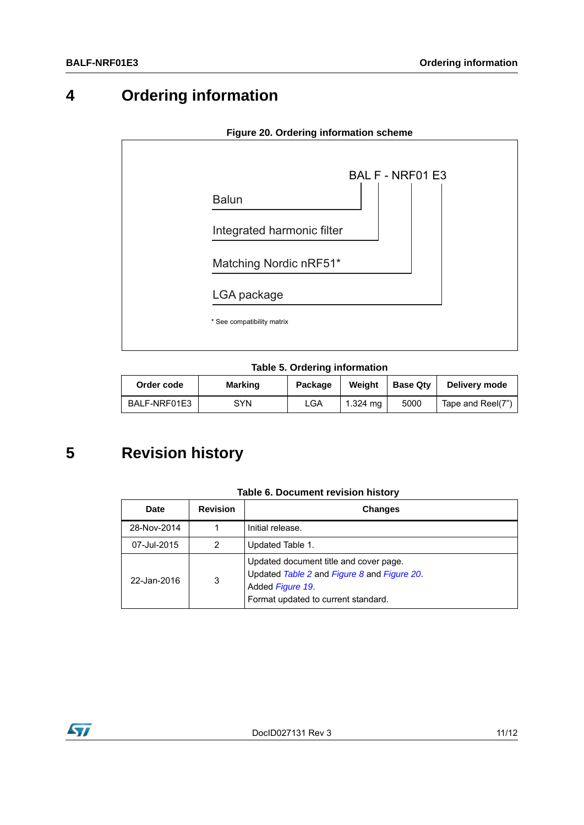## **4 Ordering information**

<span id="page-10-0"></span>

**Table 5. Ordering information**

| Order code   | <b>Marking</b> | Package | Weight   | <b>Base Qtv</b> | Delivery mode     |
|--------------|----------------|---------|----------|-----------------|-------------------|
| BALF-NRF01E3 | SYN            | LGA     | 1.324 ma | 5000            | Tape and Reel(7") |

## **5 Revision history**

| Date        | <b>Revision</b> | <b>Changes</b>                                                                                                                                   |
|-------------|-----------------|--------------------------------------------------------------------------------------------------------------------------------------------------|
| 28-Nov-2014 |                 | Initial release.                                                                                                                                 |
| 07-Jul-2015 | 2               | Updated Table 1.                                                                                                                                 |
| 22-Jan-2016 | 3               | Updated document title and cover page.<br>Updated Table 2 and Figure 8 and Figure 20.<br>Added Figure 19.<br>Format updated to current standard. |